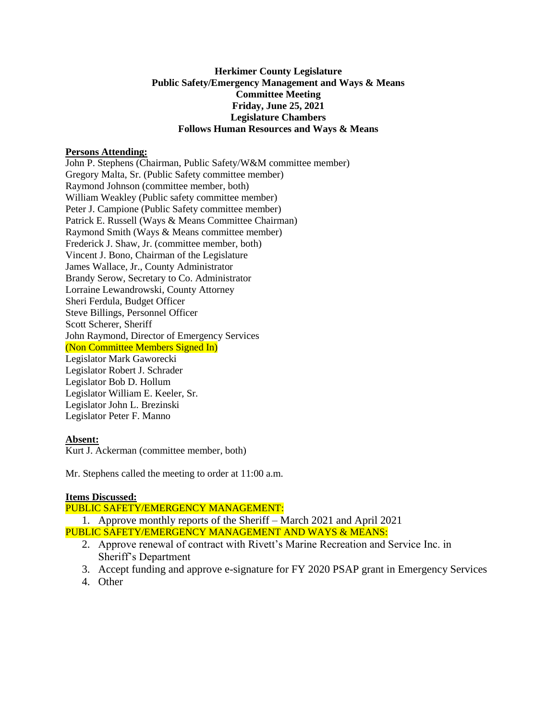# **Herkimer County Legislature Public Safety/Emergency Management and Ways & Means Committee Meeting Friday, June 25, 2021 Legislature Chambers Follows Human Resources and Ways & Means**

## **Persons Attending:**

John P. Stephens (Chairman, Public Safety/W&M committee member) Gregory Malta, Sr. (Public Safety committee member) Raymond Johnson (committee member, both) William Weakley (Public safety committee member) Peter J. Campione (Public Safety committee member) Patrick E. Russell (Ways & Means Committee Chairman) Raymond Smith (Ways & Means committee member) Frederick J. Shaw, Jr. (committee member, both) Vincent J. Bono, Chairman of the Legislature James Wallace, Jr., County Administrator Brandy Serow, Secretary to Co. Administrator Lorraine Lewandrowski, County Attorney Sheri Ferdula, Budget Officer Steve Billings, Personnel Officer Scott Scherer, Sheriff John Raymond, Director of Emergency Services (Non Committee Members Signed In) Legislator Mark Gaworecki Legislator Robert J. Schrader Legislator Bob D. Hollum Legislator William E. Keeler, Sr. Legislator John L. Brezinski Legislator Peter F. Manno

#### **Absent:**

Kurt J. Ackerman (committee member, both)

Mr. Stephens called the meeting to order at 11:00 a.m.

## **Items Discussed:**

PUBLIC SAFETY/EMERGENCY MANAGEMENT:

1. Approve monthly reports of the Sheriff – March 2021 and April 2021 PUBLIC SAFETY/EMERGENCY MANAGEMENT AND WAYS & MEANS:

- 2. Approve renewal of contract with Rivett's Marine Recreation and Service Inc. in Sheriff's Department
- 3. Accept funding and approve e-signature for FY 2020 PSAP grant in Emergency Services
- 4. Other